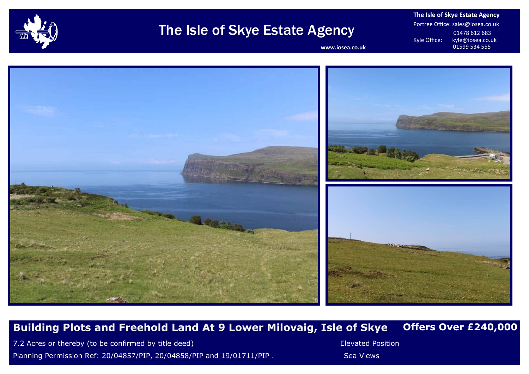

## The Isle of Skye Estate Agency

**The Isle of Skye Estate Agency** Portree Office: sales@iosea.co.uk 01478 612 683<br>Kyle Office: kyle@iosea.co.u kyle@iosea.co.uk<br>01599 534 555

www.iosea.co.uk



## **Building Plots and Freehold Land At 9 Lower Milovaig, Isle of Skye Offers Over £240,000**

7.2 Acres or thereby (to be confirmed by title deed) **Elevated Position** Elevated Position Planning Permission Ref: 20/04857/PIP, 20/04858/PIP and 19/01711/PIP . Sea Views